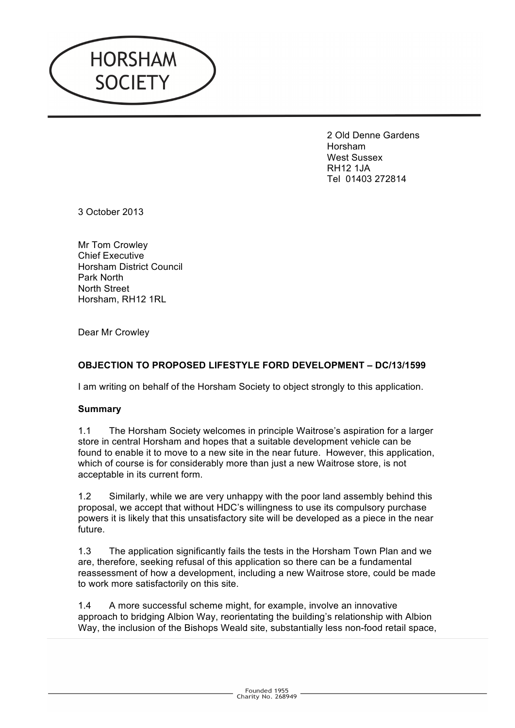

2 Old Denne Gardens Horsham West Sussex RH12 1JA Tel 01403 272814

3 October 2013

Mr Tom Crowley Chief Executive Horsham District Council Park North North Street Horsham, RH12 1RL

Dear Mr Crowley

# **OBJECTION TO PROPOSED LIFESTYLE FORD DEVELOPMENT – DC/13/1599**

I am writing on behalf of the Horsham Society to object strongly to this application.

### **Summary**

1.1 The Horsham Society welcomes in principle Waitrose's aspiration for a larger store in central Horsham and hopes that a suitable development vehicle can be found to enable it to move to a new site in the near future. However, this application, which of course is for considerably more than just a new Waitrose store, is not acceptable in its current form.

1.2 Similarly, while we are very unhappy with the poor land assembly behind this proposal, we accept that without HDC's willingness to use its compulsory purchase powers it is likely that this unsatisfactory site will be developed as a piece in the near future.

1.3 The application significantly fails the tests in the Horsham Town Plan and we are, therefore, seeking refusal of this application so there can be a fundamental reassessment of how a development, including a new Waitrose store, could be made to work more satisfactorily on this site.

1.4 A more successful scheme might, for example, involve an innovative approach to bridging Albion Way, reorientating the building's relationship with Albion Way, the inclusion of the Bishops Weald site, substantially less non-food retail space,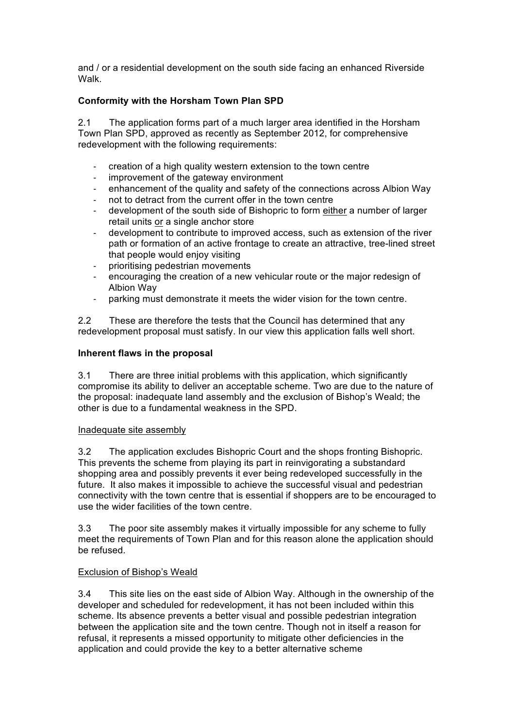and / or a residential development on the south side facing an enhanced Riverside Walk.

## **Conformity with the Horsham Town Plan SPD**

2.1 The application forms part of a much larger area identified in the Horsham Town Plan SPD, approved as recently as September 2012, for comprehensive redevelopment with the following requirements:

- creation of a high quality western extension to the town centre
- improvement of the gateway environment
- enhancement of the quality and safety of the connections across Albion Way
- not to detract from the current offer in the town centre
- development of the south side of Bishopric to form either a number of larger retail units or a single anchor store
- development to contribute to improved access, such as extension of the river path or formation of an active frontage to create an attractive, tree-lined street that people would enjoy visiting
- prioritising pedestrian movements
- encouraging the creation of a new vehicular route or the major redesign of Albion Way
- parking must demonstrate it meets the wider vision for the town centre.

2.2 These are therefore the tests that the Council has determined that any redevelopment proposal must satisfy. In our view this application falls well short.

### **Inherent flaws in the proposal**

3.1 There are three initial problems with this application, which significantly compromise its ability to deliver an acceptable scheme. Two are due to the nature of the proposal: inadequate land assembly and the exclusion of Bishop's Weald; the other is due to a fundamental weakness in the SPD.

### Inadequate site assembly

3.2 The application excludes Bishopric Court and the shops fronting Bishopric. This prevents the scheme from playing its part in reinvigorating a substandard shopping area and possibly prevents it ever being redeveloped successfully in the future. It also makes it impossible to achieve the successful visual and pedestrian connectivity with the town centre that is essential if shoppers are to be encouraged to use the wider facilities of the town centre.

3.3 The poor site assembly makes it virtually impossible for any scheme to fully meet the requirements of Town Plan and for this reason alone the application should be refused.

### Exclusion of Bishop's Weald

3.4 This site lies on the east side of Albion Way. Although in the ownership of the developer and scheduled for redevelopment, it has not been included within this scheme. Its absence prevents a better visual and possible pedestrian integration between the application site and the town centre. Though not in itself a reason for refusal, it represents a missed opportunity to mitigate other deficiencies in the application and could provide the key to a better alternative scheme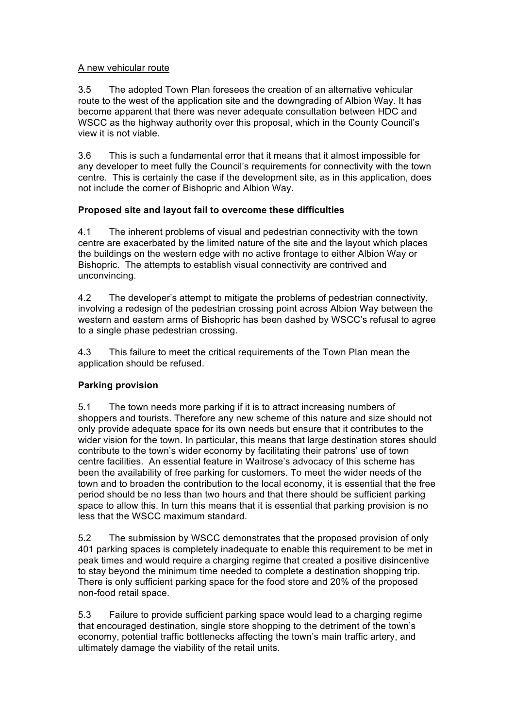### A new vehicular route

3.5 The adopted Town Plan foresees the creation of an alternative vehicular route to the west of the application site and the downgrading of Albion Way. It has become apparent that there was never adequate consultation between HDC and WSCC as the highway authority over this proposal, which in the County Council's view it is not viable.

3.6 This is such a fundamental error that it means that it almost impossible for any developer to meet fully the Council's requirements for connectivity with the town centre. This is certainly the case if the development site, as in this application, does not include the corner of Bishopric and Albion Way.

# **Proposed site and layout fail to overcome these difficulties**

4.1 The inherent problems of visual and pedestrian connectivity with the town centre are exacerbated by the limited nature of the site and the layout which places the buildings on the western edge with no active frontage to either Albion Way or Bishopric. The attempts to establish visual connectivity are contrived and unconvincing.

4.2 The developer's attempt to mitigate the problems of pedestrian connectivity, involving a redesign of the pedestrian crossing point across Albion Way between the western and eastern arms of Bishopric has been dashed by WSCC's refusal to agree to a single phase pedestrian crossing.

4.3 This failure to meet the critical requirements of the Town Plan mean the application should be refused.

# **Parking provision**

5.1 The town needs more parking if it is to attract increasing numbers of shoppers and tourists. Therefore any new scheme of this nature and size should not only provide adequate space for its own needs but ensure that it contributes to the wider vision for the town. In particular, this means that large destination stores should contribute to the town's wider economy by facilitating their patrons' use of town centre facilities. An essential feature in Waitrose's advocacy of this scheme has been the availability of free parking for customers. To meet the wider needs of the town and to broaden the contribution to the local economy, it is essential that the free period should be no less than two hours and that there should be sufficient parking space to allow this. In turn this means that it is essential that parking provision is no less that the WSCC maximum standard.

5.2 The submission by WSCC demonstrates that the proposed provision of only 401 parking spaces is completely inadequate to enable this requirement to be met in peak times and would require a charging regime that created a positive disincentive to stay beyond the minimum time needed to complete a destination shopping trip. There is only sufficient parking space for the food store and 20% of the proposed non-food retail space.

5.3 Failure to provide sufficient parking space would lead to a charging regime that encouraged destination, single store shopping to the detriment of the town's economy, potential traffic bottlenecks affecting the town's main traffic artery, and ultimately damage the viability of the retail units.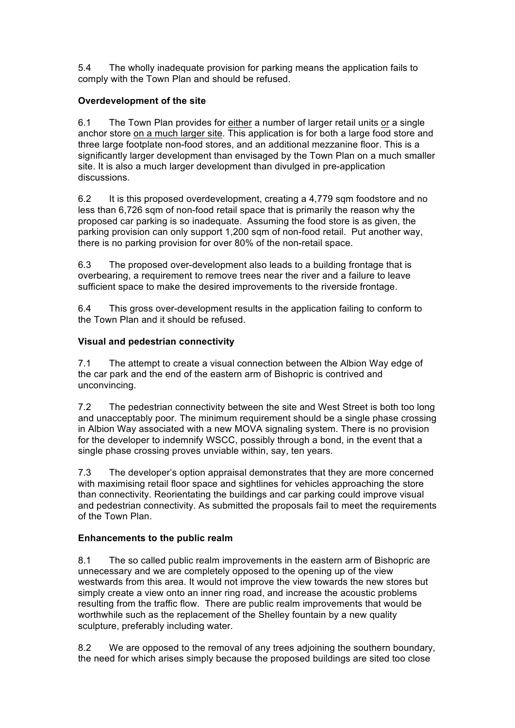5.4 The wholly inadequate provision for parking means the application fails to comply with the Town Plan and should be refused.

# **Overdevelopment of the site**

6.1 The Town Plan provides for either a number of larger retail units or a single anchor store on a much larger site. This application is for both a large food store and three large footplate non-food stores, and an additional mezzanine floor. This is a significantly larger development than envisaged by the Town Plan on a much smaller site. It is also a much larger development than divulged in pre-application discussions.

6.2 It is this proposed overdevelopment, creating a 4,779 sqm foodstore and no less than 6,726 sqm of non-food retail space that is primarily the reason why the proposed car parking is so inadequate. Assuming the food store is as given, the parking provision can only support 1,200 sqm of non-food retail. Put another way, there is no parking provision for over 80% of the non-retail space.

6.3 The proposed over-development also leads to a building frontage that is overbearing, a requirement to remove trees near the river and a failure to leave sufficient space to make the desired improvements to the riverside frontage.

6.4 This gross over-development results in the application failing to conform to the Town Plan and it should be refused.

# **Visual and pedestrian connectivity**

7.1 The attempt to create a visual connection between the Albion Way edge of the car park and the end of the eastern arm of Bishopric is contrived and unconvincing.

7.2 The pedestrian connectivity between the site and West Street is both too long and unacceptably poor. The minimum requirement should be a single phase crossing in Albion Way associated with a new MOVA signaling system. There is no provision for the developer to indemnify WSCC, possibly through a bond, in the event that a single phase crossing proves unviable within, say, ten years.

7.3 The developer's option appraisal demonstrates that they are more concerned with maximising retail floor space and sightlines for vehicles approaching the store than connectivity. Reorientating the buildings and car parking could improve visual and pedestrian connectivity. As submitted the proposals fail to meet the requirements of the Town Plan.

# **Enhancements to the public realm**

8.1 The so called public realm improvements in the eastern arm of Bishopric are unnecessary and we are completely opposed to the opening up of the view westwards from this area. It would not improve the view towards the new stores but simply create a view onto an inner ring road, and increase the acoustic problems resulting from the traffic flow. There are public realm improvements that would be worthwhile such as the replacement of the Shelley fountain by a new quality sculpture, preferably including water.

8.2 We are opposed to the removal of any trees adjoining the southern boundary, the need for which arises simply because the proposed buildings are sited too close